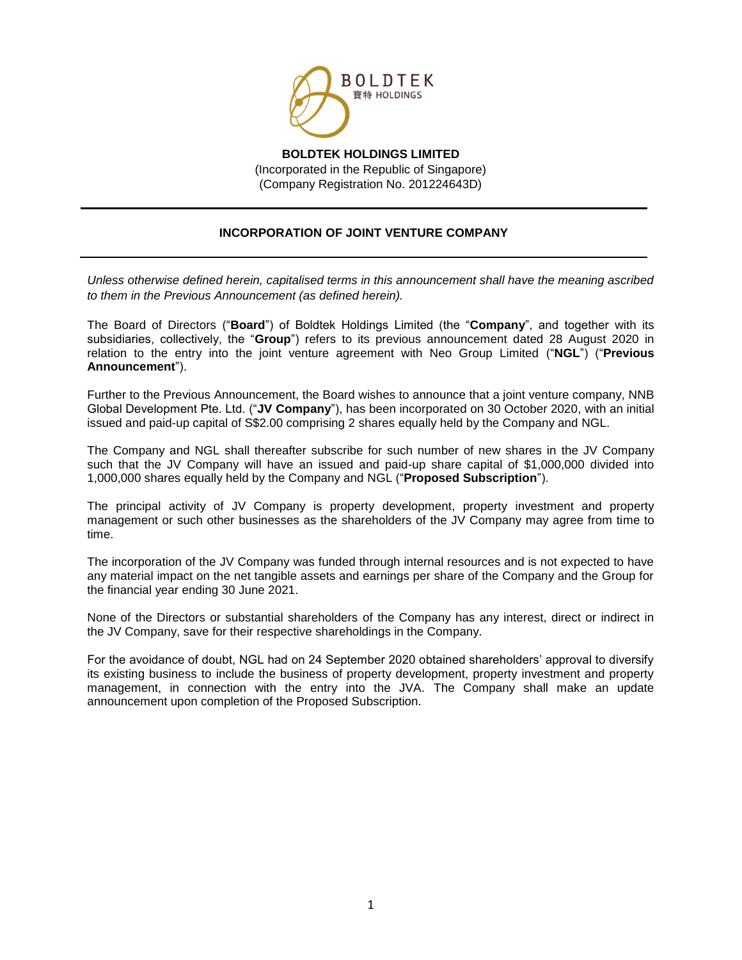

**BOLDTEK HOLDINGS LIMITED** (Incorporated in the Republic of Singapore) (Company Registration No. 201224643D)

## **INCORPORATION OF JOINT VENTURE COMPANY**

*Unless otherwise defined herein, capitalised terms in this announcement shall have the meaning ascribed to them in the Previous Announcement (as defined herein).*

The Board of Directors ("**Board**") of Boldtek Holdings Limited (the "**Company**", and together with its subsidiaries, collectively, the "**Group**") refers to its previous announcement dated 28 August 2020 in relation to the entry into the joint venture agreement with Neo Group Limited ("**NGL**") ("**Previous Announcement**").

Further to the Previous Announcement, the Board wishes to announce that a joint venture company, NNB Global Development Pte. Ltd. ("**JV Company**"), has been incorporated on 30 October 2020, with an initial issued and paid-up capital of S\$2.00 comprising 2 shares equally held by the Company and NGL.

The Company and NGL shall thereafter subscribe for such number of new shares in the JV Company such that the JV Company will have an issued and paid-up share capital of \$1,000,000 divided into 1,000,000 shares equally held by the Company and NGL ("**Proposed Subscription**").

The principal activity of JV Company is property development, property investment and property management or such other businesses as the shareholders of the JV Company may agree from time to time.

The incorporation of the JV Company was funded through internal resources and is not expected to have any material impact on the net tangible assets and earnings per share of the Company and the Group for the financial year ending 30 June 2021.

None of the Directors or substantial shareholders of the Company has any interest, direct or indirect in the JV Company, save for their respective shareholdings in the Company.

For the avoidance of doubt, NGL had on 24 September 2020 obtained shareholders' approval to diversify its existing business to include the business of property development, property investment and property management, in connection with the entry into the JVA. The Company shall make an update announcement upon completion of the Proposed Subscription.